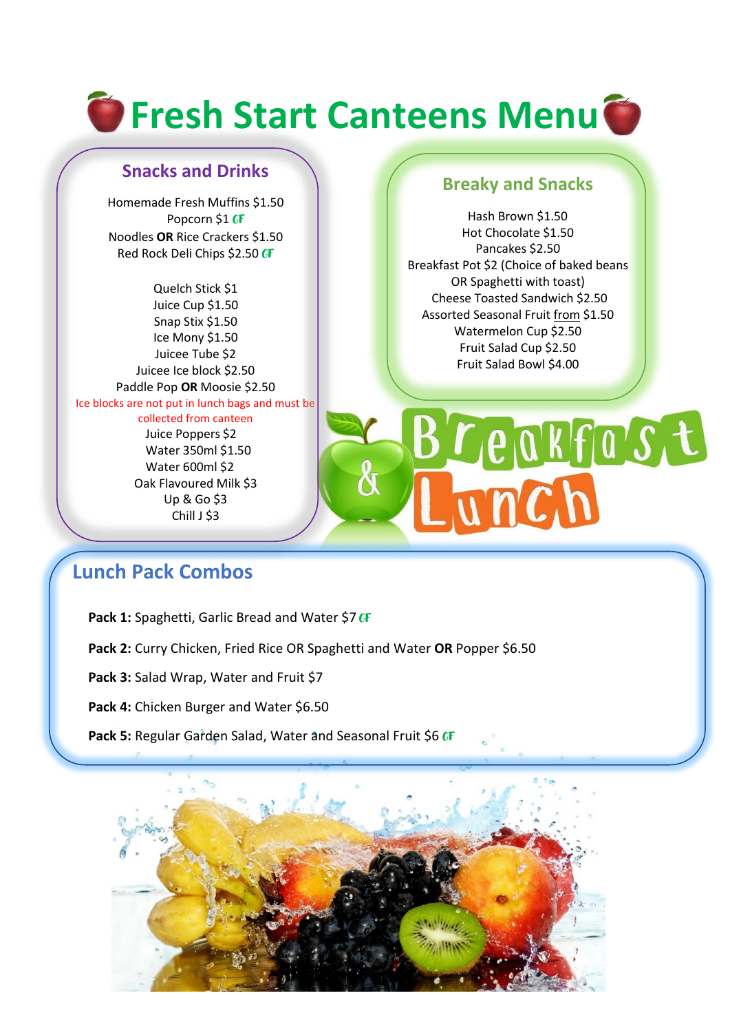# **The Fresh Start Canteens Menu**

## **Snacks and Drinks**

Homemade Fresh Muffins \$1.50 Popcorn \$1 GF Noodles **OR** Rice Crackers \$1.50 Red Rock Deli Chips \$2.50 GF

Quelch Stick \$1 Juice Cup \$1.50 Snap Stix \$1.50 Ice Mony \$1.50 Juicee Tube \$2 Juicee Ice block \$2.50 Paddle Pop **OR** Moosie \$2.50 Ice blocks are not put in lunch bags and must be collected from canteen Juice Poppers \$2 Water 350ml \$1.50 Water 600ml \$2 Oak Flavoured Milk \$3 Up & Go \$3 Chill J \$3

## **Breaky and Snacks**

 Hash Brown \$1.50 Hot Chocolate \$1.50 Pancakes \$2.50 Breakfast Pot \$2 (Choice of baked beans OR Spaghetti with toast) Cheese Toasted Sandwich \$2.50 Assorted Seasonal Fruit from \$1.50 Watermelon Cup \$2.50 Fruit Salad Cup \$2.50 Fruit Salad Bowl \$4.00

Tunch

Breakfast

# **Lunch Pack Combos**

- Pack 1: Spaghetti, Garlic Bread and Water \$7 GF
- **Pack 2:** Curry Chicken, Fried Rice OR Spaghetti and Water **OR** Popper \$6.50
- **Pack 3:** Salad Wrap, Water and Fruit \$7
- Pack 4: Chicken Burger and Water \$6.50
- Pack 5: Regular Garden Salad, Water and Seasonal Fruit \$6 CF